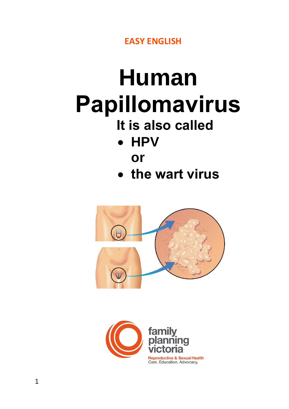**EASY ENGLISH**

# **Human Papillomavirus**

## **It is also called**

- **HPV**
	- **or**
- **the wart virus**



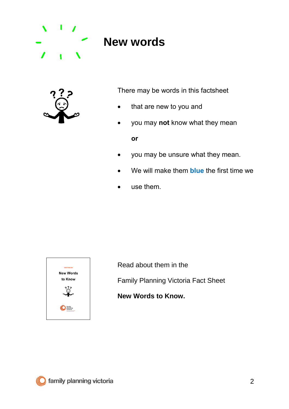

## **New words**



There may be words in this factsheet

- that are new to you and
- you may **not** know what they mean

**or**

- you may be unsure what they mean.
- We will make them **blue** the first time we
- use them.



Read about them in the

Family Planning Victoria Fact Sheet

**New Words to Know.**

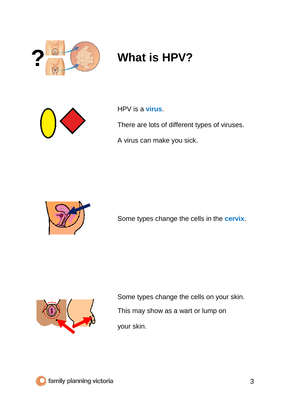

## **? What is HPV?**



HPV is a **virus**.

There are lots of different types of viruses.

A virus can make you sick.



Some types change the cells in the **cervix**.



Some types change the cells on your skin. This may show as a wart or lump on your skin.

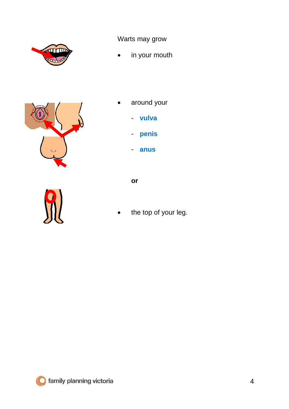



Warts may grow

- in your mouth
- around your
	- **vulva**
	- **penis**
	- **anus**

**or**

d.

the top of your leg.

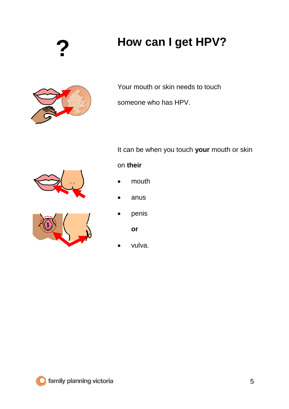**?**

## **How can I get HPV?**



Your mouth or skin needs to touch

someone who has HPV.

It can be when you touch **your** mouth or skin

### on **their**

- mouth
- anus
- penis

**or**

vulva.





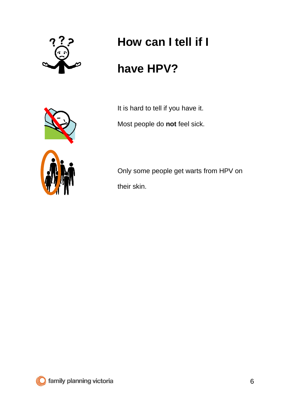

# **How can I tell if I**

## **have HPV?**



It is hard to tell if you have it. Most people do **not** feel sick.

Only some people get warts from HPV on their skin.

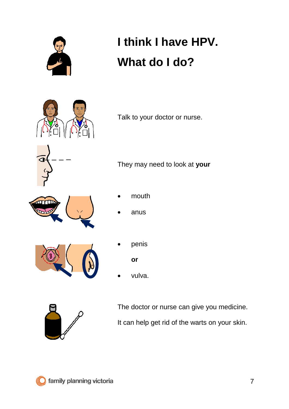

# **I think I have HPV. What do I do?**



Talk to your doctor or nurse.

They may need to look at **your**



- mouth
- anus



penis

**or**

• vulva.



The doctor or nurse can give you medicine. It can help get rid of the warts on your skin.

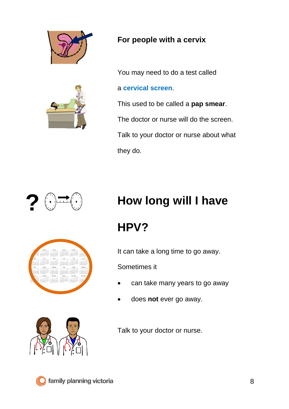



### **For people with a cervix**

You may need to do a test called

#### a **cervical screen**.

This used to be called a **pap smear**. The doctor or nurse will do the screen. Talk to your doctor or nurse about what they do.







## **How long will I have**

## **HPV?**

It can take a long time to go away.

Sometimes it

- can take many years to go away
- does **not** ever go away.

Talk to your doctor or nurse.

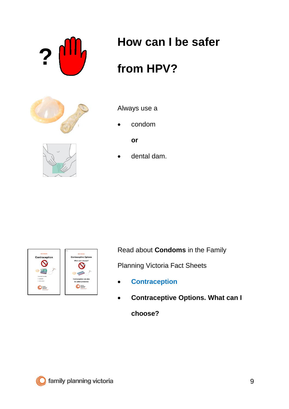

## **How can I be safer**

## **from HPV?**





Always use a

• condom

**or**

• dental dam.





Read about **Condoms** in the Family

Planning Victoria Fact Sheets

- **Contraception**
- **Contraceptive Options. What can I**

**choose?**

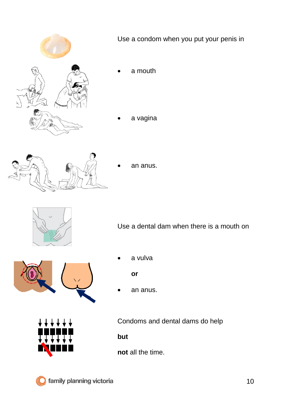

Use a condom when you put your penis in

- a mouth
- a vagina



• an anus.



Use a dental dam when there is a mouth on

- 
- a vulva

**or**

an anus.



Condoms and dental dams do help

**but**

**not** all the time.

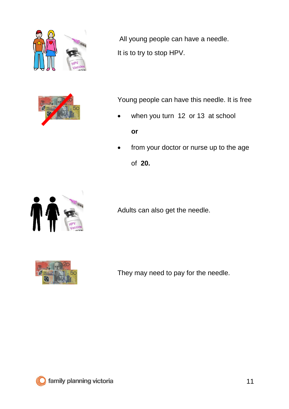



All young people can have a needle. It is to try to stop HPV.

Young people can have this needle. It is free

when you turn 12 or 13 at school

**or**

from your doctor or nurse up to the age of **20.**



Adults can also get the needle.



They may need to pay for the needle.

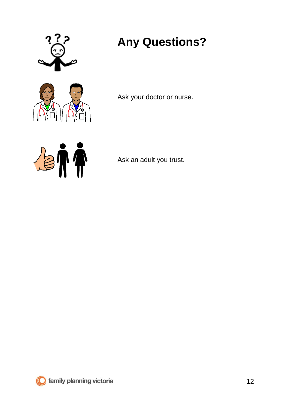



## **Any Questions?**

Ask your doctor or nurse.



Ask an adult you trust.